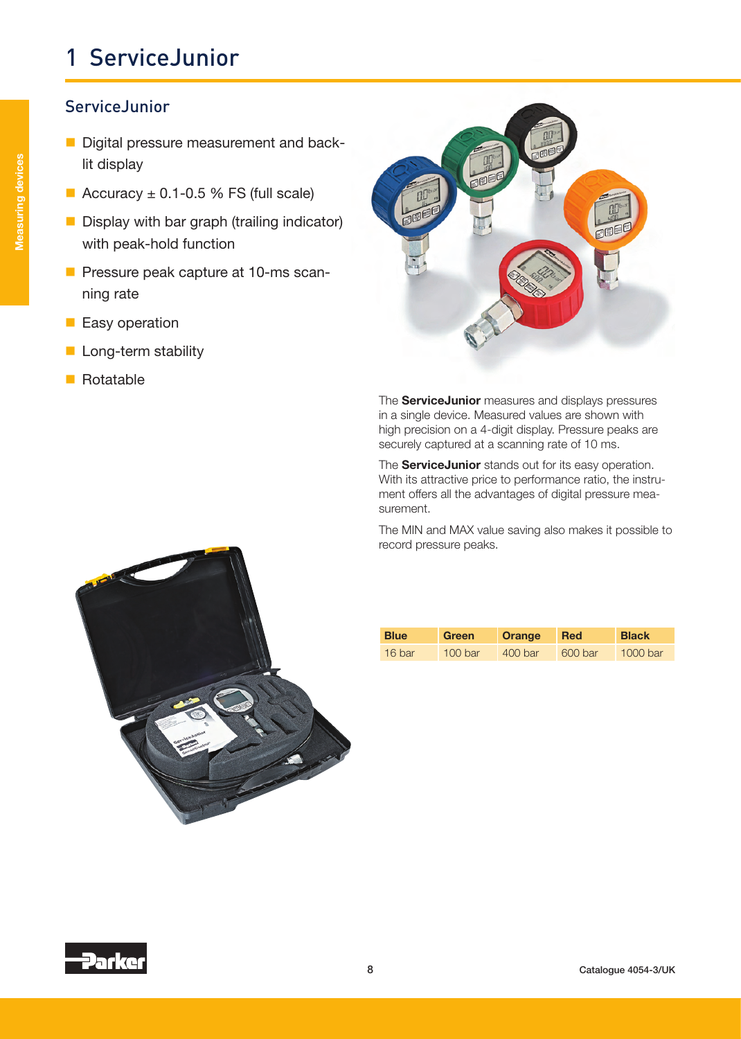#### **ServiceJunior**

- Digital pressure measurement and backlit display
- Accuracy  $\pm$  0.1-0.5 % FS (full scale)
- Display with bar graph (trailing indicator) with peak-hold function
- **Pressure peak capture at 10-ms scan**ning rate
- **Easy operation**
- **Long-term stability**
- Rotatable



The **ServiceJunior** measures and displays pressures in a single device. Measured values are shown with high precision on a 4-digit display. Pressure peaks are securely captured at a scanning rate of 10 ms.

The **ServiceJunior** stands out for its easy operation. With its attractive price to performance ratio, the instrument offers all the advantages of digital pressure measurement.

The MIN and MAX value saving also makes it possible to record pressure peaks.



| <b>Blue</b> | Green     | <b>Orange</b> | Red     | <b>Black</b> |
|-------------|-----------|---------------|---------|--------------|
| 16 bar      | $100$ bar | 400 bar       | 600 bar | 1000 bar     |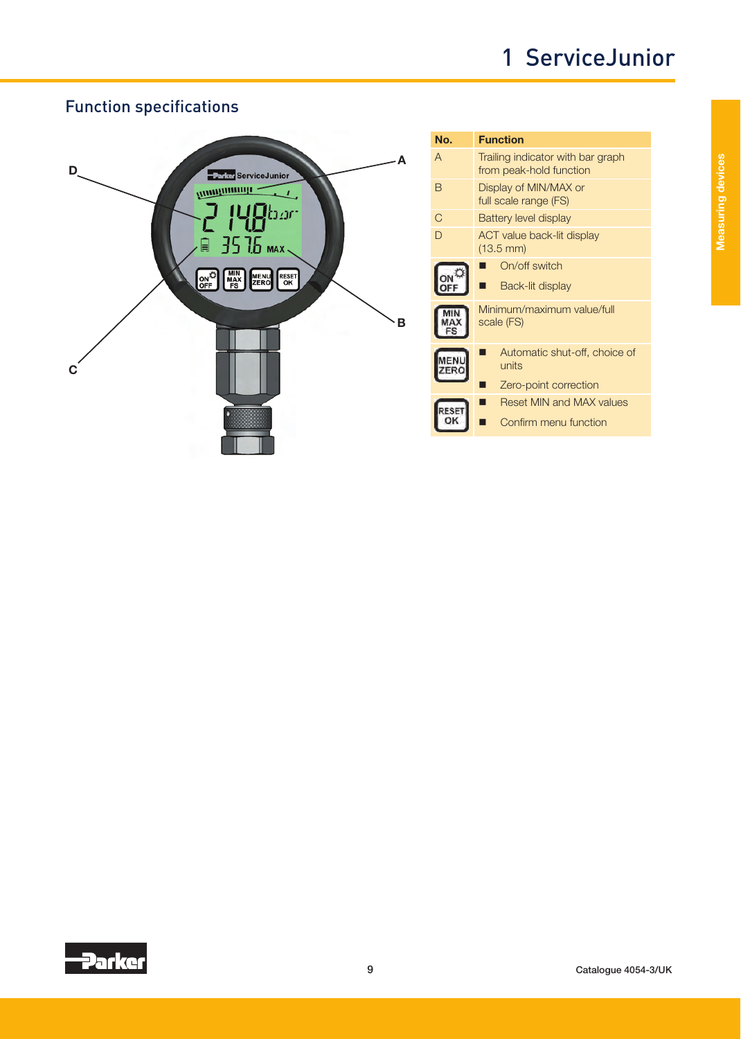

| No. | <b>Function</b>                                              |  |  |
|-----|--------------------------------------------------------------|--|--|
| A   | Trailing indicator with bar graph<br>from peak-hold function |  |  |
| B   | Display of MIN/MAX or<br>full scale range (FS)               |  |  |
| C   | Battery level display                                        |  |  |
| D   | ACT value back-lit display<br>$(13.5 \text{ mm})$            |  |  |
|     | On/off switch                                                |  |  |
|     | Back-lit display                                             |  |  |
|     | Minimum/maximum value/full<br>scale (FS)                     |  |  |
|     | Automatic shut-off, choice of<br>units                       |  |  |
|     | Zero-point correction                                        |  |  |
|     | <b>Reset MIN and MAX values</b>                              |  |  |
|     | Confirm menu function                                        |  |  |

### Function specifications

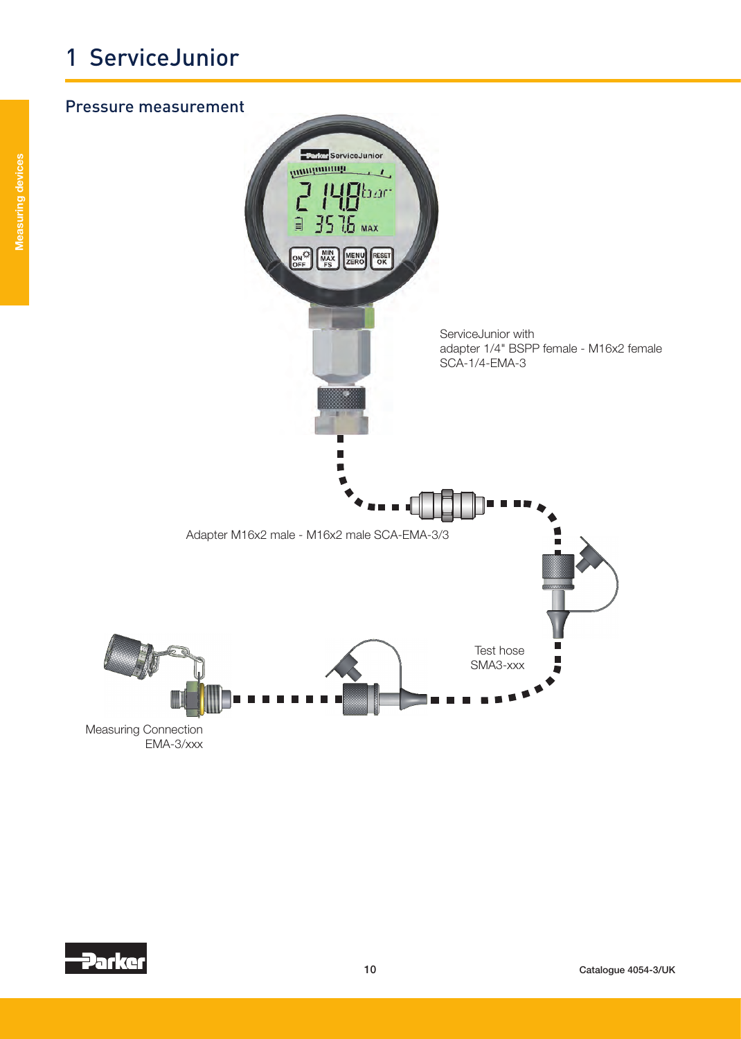#### Pressure measurement



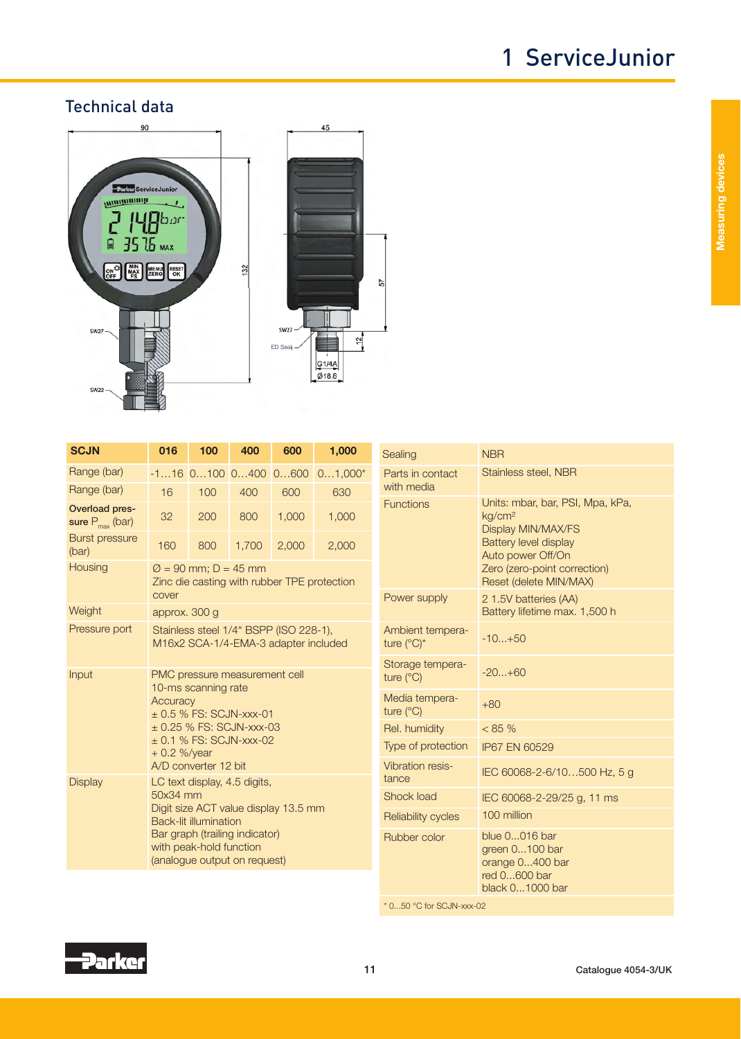### Technical data



| UUUN                                          |                                                                                                                                                                                                                | - 199 | - 700 |       |                               |
|-----------------------------------------------|----------------------------------------------------------------------------------------------------------------------------------------------------------------------------------------------------------------|-------|-------|-------|-------------------------------|
| Range (bar)                                   |                                                                                                                                                                                                                |       |       |       | $-116$ 0100 0400 0600 01,000* |
| Range (bar)                                   | 16                                                                                                                                                                                                             | 100   | 400   | 600   | 630                           |
| Overload pres-<br>sure $P_{\text{max}}$ (bar) | 32                                                                                                                                                                                                             | 200   | 800   | 1,000 | 1,000                         |
| <b>Burst pressure</b><br>(bar)                | 160                                                                                                                                                                                                            | 800   | 1,700 | 2,000 | 2,000                         |
| Housing                                       | $\varnothing$ = 90 mm; D = 45 mm<br>Zinc die casting with rubber TPE protection<br>cover                                                                                                                       |       |       |       |                               |
| Weight                                        | approx. 300 g                                                                                                                                                                                                  |       |       |       |                               |
| Pressure port                                 | Stainless steel 1/4" BSPP (ISO 228-1),<br>M16x2 SCA-1/4-EMA-3 adapter included                                                                                                                                 |       |       |       |                               |
| Input                                         | PMC pressure measurement cell<br>10-ms scanning rate<br><b>Accuracy</b><br>$\pm$ 0.5 % FS: SCJN-xxx-01<br>$\pm$ 0.25 % FS: SCJN-xxx-03<br>$\pm$ 0.1 % FS: SCJN-xxx-02<br>$+0.2$ %/year<br>A/D converter 12 bit |       |       |       |                               |
| <b>Display</b>                                | LC text display, 4.5 digits,<br>50x34 mm<br>Digit size ACT value display 13.5 mm<br><b>Back-lit illumination</b><br>Bar graph (trailing indicator)<br>with peak-hold function<br>(analogue output on request)  |       |       |       |                               |

| OU III IY                                                                                                              | חסצו                                                                                                                                                                                        |  |  |
|------------------------------------------------------------------------------------------------------------------------|---------------------------------------------------------------------------------------------------------------------------------------------------------------------------------------------|--|--|
| Parts in contact<br>with media                                                                                         | Stainless steel, NBR                                                                                                                                                                        |  |  |
| <b>Functions</b>                                                                                                       | Units: mbar, bar, PSI, Mpa, kPa,<br>kg/cm <sup>2</sup><br>Display MIN/MAX/FS<br><b>Battery level display</b><br>Auto power Off/On<br>Zero (zero-point correction)<br>Reset (delete MIN/MAX) |  |  |
| Power supply                                                                                                           | 2 1.5V batteries (AA)<br>Battery lifetime max. 1,500 h                                                                                                                                      |  |  |
| Ambient tempera-<br>ture $(^{\circ}C)^{*}$                                                                             | $-10+50$                                                                                                                                                                                    |  |  |
| Storage tempera-<br>ture $(^{\circ}C)$                                                                                 | $-20+60$                                                                                                                                                                                    |  |  |
| Media tempera-<br>ture (°C)                                                                                            | $+80$                                                                                                                                                                                       |  |  |
| Rel. humidity                                                                                                          | $< 85 \%$                                                                                                                                                                                   |  |  |
| Type of protection                                                                                                     | IP67 EN 60529                                                                                                                                                                               |  |  |
| <b>Vibration resis-</b><br>tance                                                                                       | IEC 60068-2-6/10500 Hz, 5 g                                                                                                                                                                 |  |  |
| <b>Shock load</b>                                                                                                      | IEC 60068-2-29/25 g, 11 ms                                                                                                                                                                  |  |  |
| <b>Reliability cycles</b>                                                                                              | 100 million                                                                                                                                                                                 |  |  |
| Rubber color                                                                                                           | blue 0016 bar<br>green 0100 bar<br>orange 0400 bar<br>red 0600 bar<br>black 01000 bar                                                                                                       |  |  |
| $*$ $\cap$ $\Gamma$ $\cap$ $\Omega$ $\cap$ $f_{\alpha\alpha}$ $\cap$ $\cap$ $\Gamma$ $\Gamma$ $\Omega$ $\Omega$ $\cap$ |                                                                                                                                                                                             |  |  |

\* 0...50 °C for SCJN-xxx-02

**Parker** 



Measuring devices

**Measuring devices**